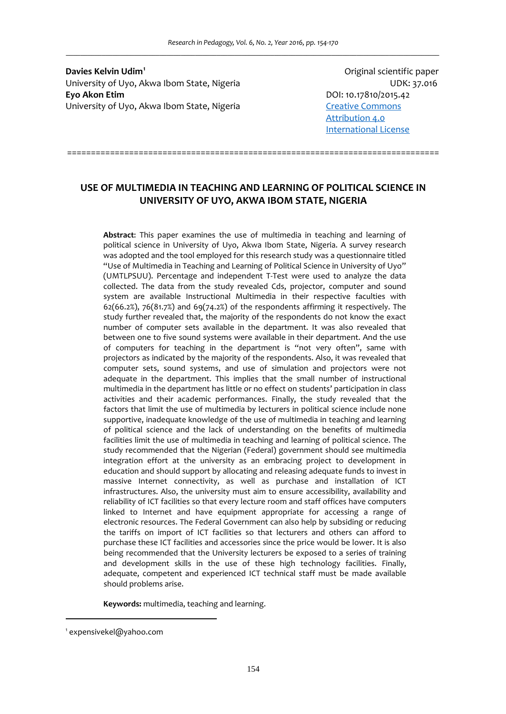**Davies Kelvin Udim[1](#page-0-0)** University of Uyo, Akwa Ibom State, Nigeria **Manufary 1988** MDK: 37.016 **Eyo Akon Etim**  DOI: 10.17810/2015.42 University of Uyo, Akwa Ibom State, Nigeria **State [Commons](https://creativecommons.org/licenses/by/4.0/)** 

Original scientific paper [Attribution](https://creativecommons.org/licenses/by/4.0/) 4.0 [International](https://creativecommons.org/licenses/by/4.0/) License

==============================================================================

# **USE OF MULTIMEDIA IN TEACHING AND LEARNING OF POLITICAL SCIENCE IN UNIVERSITY OF UYO, AKWA IBOM STATE, NIGERIA**

**Abstract**: This paper examines the use of multimedia in teaching and learning of political science in University of Uyo, Akwa Ibom State, Nigeria. A survey research was adopted and the tool employed for this research study was a questionnaire titled "Use of Multimedia in Teaching and Learning of Political Science in University of Uyo" (UMTLPSUU). Percentage and independent T‐Test were used to analyze the data collected. The data from the study revealed Cds, projector, computer and sound system are available Instructional Multimedia in their respective faculties with  $62(66.2%)$ ,  $76(81.7%)$  and  $69(74.2%)$  of the respondents affirming it respectively. The study further revealed that, the majority of the respondents do not know the exact number of computer sets available in the department. It was also revealed that between one to five sound systems were available in their department. And the use of computers for teaching in the department is "not very often", same with projectors as indicated by the majority of the respondents. Also, it was revealed that computer sets, sound systems, and use of simulation and projectors were not adequate in the department. This implies that the small number of instructional multimedia in the department has little or no effect on students' participation in class activities and their academic performances. Finally, the study revealed that the factors that limit the use of multimedia by lecturers in political science include none supportive, inadequate knowledge of the use of multimedia in teaching and learning of political science and the lack of understanding on the benefits of multimedia facilities limit the use of multimedia in teaching and learning of political science. The study recommended that the Nigerian (Federal) government should see multimedia integration effort at the university as an embracing project to development in education and should support by allocating and releasing adequate funds to invest in massive Internet connectivity, as well as purchase and installation of ICT infrastructures. Also, the university must aim to ensure accessibility, availability and reliability of ICT facilities so that every lecture room and staff offices have computers linked to Internet and have equipment appropriate for accessing a range of electronic resources. The Federal Government can also help by subsiding or reducing the tariffs on import of ICT facilities so that lecturers and others can afford to purchase these ICT facilities and accessories since the price would be lower. It is also being recommended that the University lecturers be exposed to a series of training and development skills in the use of these high technology facilities. Finally, adequate, competent and experienced ICT technical staff must be made available should problems arise.

**Keywords:** multimedia, teaching and learning.

 $\overline{a}$ 

<span id="page-0-0"></span><sup>1</sup> expensivekel@yahoo.com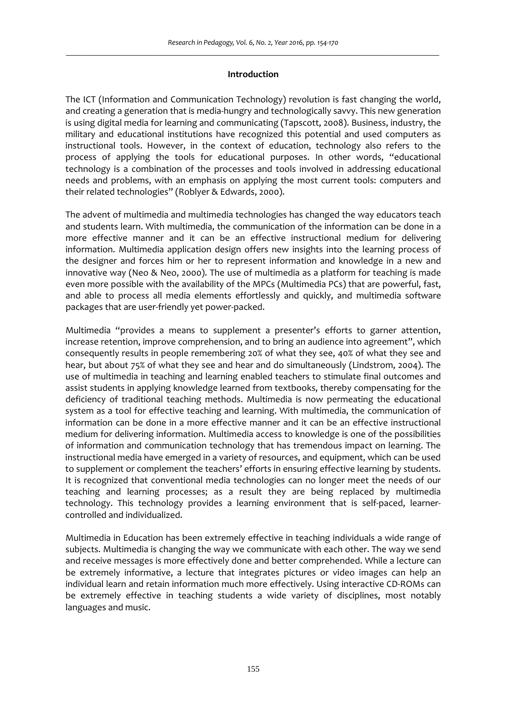## **Introduction**

The ICT (Information and Communication Technology) revolution is fast changing the world, and creating a generation that is media‐hungry and technologically savvy. This new generation is using digital media for learning and communicating (Tapscott, 2008). Business, industry, the military and educational institutions have recognized this potential and used computers as instructional tools. However, in the context of education, technology also refers to the process of applying the tools for educational purposes. In other words, "educational technology is a combination of the processes and tools involved in addressing educational needs and problems, with an emphasis on applying the most current tools: computers and their related technologies" (Roblyer & Edwards, 2000).

The advent of multimedia and multimedia technologies has changed the way educators teach and students learn. With multimedia, the communication of the information can be done in a more effective manner and it can be an effective instructional medium for delivering information. Multimedia application design offers new insights into the learning process of the designer and forces him or her to represent information and knowledge in a new and innovative way (Neo & Neo, 2000). The use of multimedia as a platform for teaching is made even more possible with the availability of the MPCs (Multimedia PCs) that are powerful, fast, and able to process all media elements effortlessly and quickly, and multimedia software packages that are user‐friendly yet power‐packed.

Multimedia "provides a means to supplement a presenter's efforts to garner attention, increase retention, improve comprehension, and to bring an audience into agreement", which consequently results in people remembering 20% of what they see, 40% of what they see and hear, but about 75% of what they see and hear and do simultaneously (Lindstrom, 2004). The use of multimedia in teaching and learning enabled teachers to stimulate final outcomes and assist students in applying knowledge learned from textbooks, thereby compensating for the deficiency of traditional teaching methods. Multimedia is now permeating the educational system as a tool for effective teaching and learning. With multimedia, the communication of information can be done in a more effective manner and it can be an effective instructional medium for delivering information. Multimedia access to knowledge is one of the possibilities of information and communication technology that has tremendous impact on learning. The instructional media have emerged in a variety of resources, and equipment, which can be used to supplement or complement the teachers' efforts in ensuring effective learning by students. It is recognized that conventional media technologies can no longer meet the needs of our teaching and learning processes; as a result they are being replaced by multimedia technology. This technology provides a learning environment that is self-paced, learnercontrolled and individualized.

Multimedia in Education has been extremely effective in teaching individuals a wide range of subjects. Multimedia is changing the way we communicate with each other. The way we send and receive messages is more effectively done and better comprehended. While a lecture can be extremely informative, a lecture that integrates pictures or video images can help an individual learn and retain information much more effectively. Using interactive CD‐ROMs can be extremely effective in teaching students a wide variety of disciplines, most notably languages and music.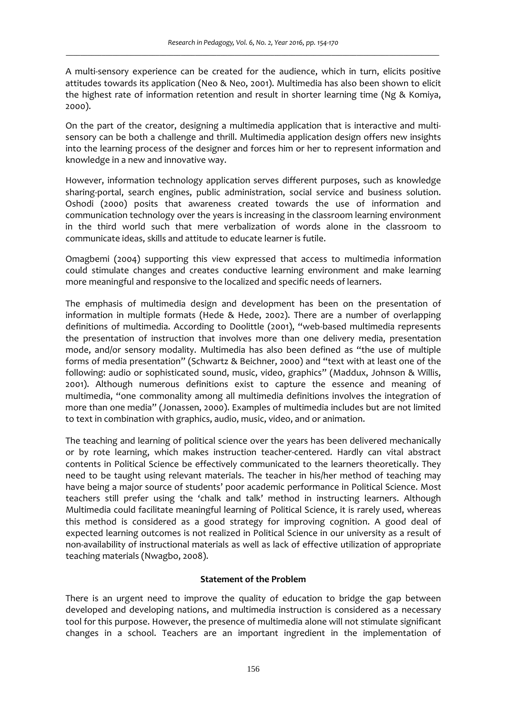A multi-sensory experience can be created for the audience, which in turn, elicits positive attitudes towards its application (Neo & Neo, 2001). Multimedia has also been shown to elicit the highest rate of information retention and result in shorter learning time (Ng & Komiya, 2000).

On the part of the creator, designing a multimedia application that is interactive and multi‐ sensory can be both a challenge and thrill. Multimedia application design offers new insights into the learning process of the designer and forces him or her to represent information and knowledge in a new and innovative way.

However, information technology application serves different purposes, such as knowledge sharing‐portal, search engines, public administration, social service and business solution. Oshodi (2000) posits that awareness created towards the use of information and communication technology over the years is increasing in the classroom learning environment in the third world such that mere verbalization of words alone in the classroom to communicate ideas, skills and attitude to educate learner is futile.

Omagbemi (2004) supporting this view expressed that access to multimedia information could stimulate changes and creates conductive learning environment and make learning more meaningful and responsive to the localized and specific needs of learners.

The emphasis of multimedia design and development has been on the presentation of information in multiple formats (Hede & Hede, 2002). There are a number of overlapping definitions of multimedia. According to Doolittle (2001), "web‐based multimedia represents the presentation of instruction that involves more than one delivery media, presentation mode, and/or sensory modality. Multimedia has also been defined as "the use of multiple forms of media presentation" (Schwartz & Beichner, 2000) and "text with at least one of the following: audio or sophisticated sound, music, video, graphics" (Maddux, Johnson & Willis, 2001). Although numerous definitions exist to capture the essence and meaning of multimedia, "one commonality among all multimedia definitions involves the integration of more than one media" (Jonassen, 2000). Examples of multimedia includes but are not limited to text in combination with graphics, audio, music, video, and or animation.

The teaching and learning of political science over the years has been delivered mechanically or by rote learning, which makes instruction teacher‐centered. Hardly can vital abstract contents in Political Science be effectively communicated to the learners theoretically. They need to be taught using relevant materials. The teacher in his/her method of teaching may have being a major source of students' poor academic performance in Political Science. Most teachers still prefer using the 'chalk and talk' method in instructing learners. Although Multimedia could facilitate meaningful learning of Political Science, it is rarely used, whereas this method is considered as a good strategy for improving cognition. A good deal of expected learning outcomes is not realized in Political Science in our university as a result of non‐availability of instructional materials as well as lack of effective utilization of appropriate teaching materials (Nwagbo, 2008).

## **Statement of the Problem**

There is an urgent need to improve the quality of education to bridge the gap between developed and developing nations, and multimedia instruction is considered as a necessary tool for this purpose. However, the presence of multimedia alone will not stimulate significant changes in a school. Teachers are an important ingredient in the implementation of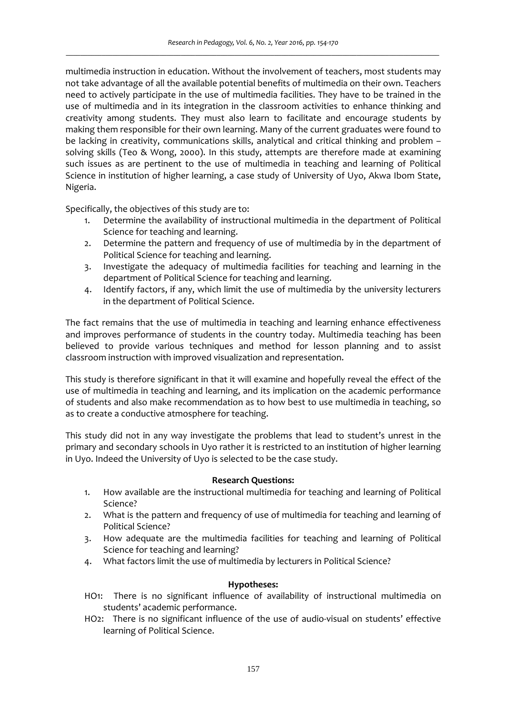multimedia instruction in education. Without the involvement of teachers, most students may not take advantage of all the available potential benefits of multimedia on their own. Teachers need to actively participate in the use of multimedia facilities. They have to be trained in the use of multimedia and in its integration in the classroom activities to enhance thinking and creativity among students. They must also learn to facilitate and encourage students by making them responsible for their own learning. Many of the current graduates were found to be lacking in creativity, communications skills, analytical and critical thinking and problem – solving skills (Teo & Wong, 2000). In this study, attempts are therefore made at examining such issues as are pertinent to the use of multimedia in teaching and learning of Political Science in institution of higher learning, a case study of University of Uyo, Akwa Ibom State, Nigeria.

Specifically, the objectives of this study are to:

- 1. Determine the availability of instructional multimedia in the department of Political Science for teaching and learning.
- 2. Determine the pattern and frequency of use of multimedia by in the department of Political Science for teaching and learning.
- 3. Investigate the adequacy of multimedia facilities for teaching and learning in the department of Political Science for teaching and learning.
- 4. Identify factors, if any, which limit the use of multimedia by the university lecturers in the department of Political Science.

The fact remains that the use of multimedia in teaching and learning enhance effectiveness and improves performance of students in the country today. Multimedia teaching has been believed to provide various techniques and method for lesson planning and to assist classroom instruction with improved visualization and representation.

This study is therefore significant in that it will examine and hopefully reveal the effect of the use of multimedia in teaching and learning, and its implication on the academic performance of students and also make recommendation as to how best to use multimedia in teaching, so as to create a conductive atmosphere for teaching.

This study did not in any way investigate the problems that lead to student's unrest in the primary and secondary schools in Uyo rather it is restricted to an institution of higher learning in Uyo. Indeed the University of Uyo is selected to be the case study.

### **Research Questions:**

- 1. How available are the instructional multimedia for teaching and learning of Political Science?
- 2. What is the pattern and frequency of use of multimedia for teaching and learning of Political Science?
- 3. How adequate are the multimedia facilities for teaching and learning of Political Science for teaching and learning?
- 4. What factors limit the use of multimedia by lecturers in Political Science?

### **Hypotheses:**

- HO1: There is no significant influence of availability of instructional multimedia on students' academic performance.
- HO2: There is no significant influence of the use of audio-visual on students' effective learning of Political Science.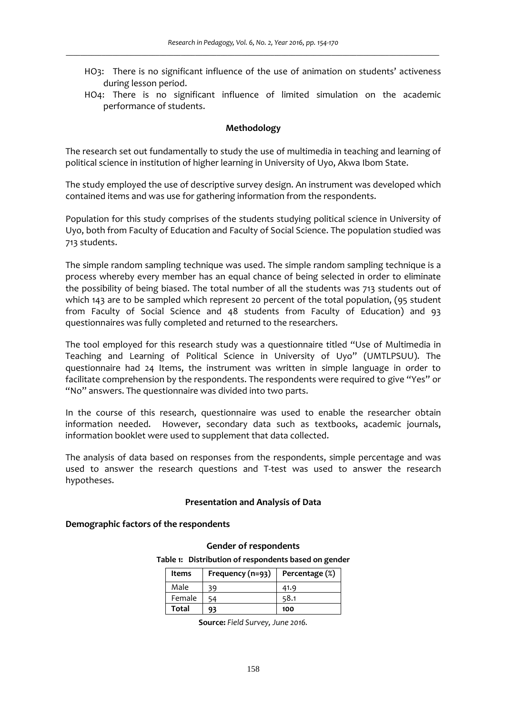- HO3: There is no significant influence of the use of animation on students' activeness during lesson period.
- HO4: There is no significant influence of limited simulation on the academic performance of students.

#### **Methodology**

The research set out fundamentally to study the use of multimedia in teaching and learning of political science in institution of higher learning in University of Uyo, Akwa Ibom State.

The study employed the use of descriptive survey design. An instrument was developed which contained items and was use for gathering information from the respondents.

Population for this study comprises of the students studying political science in University of Uyo, both from Faculty of Education and Faculty of Social Science. The population studied was 713 students.

The simple random sampling technique was used. The simple random sampling technique is a process whereby every member has an equal chance of being selected in order to eliminate the possibility of being biased. The total number of all the students was 713 students out of which 143 are to be sampled which represent 20 percent of the total population, (95 student from Faculty of Social Science and 48 students from Faculty of Education) and 93 questionnaires was fully completed and returned to the researchers.

The tool employed for this research study was a questionnaire titled "Use of Multimedia in Teaching and Learning of Political Science in University of Uyo" (UMTLPSUU). The questionnaire had 24 Items, the instrument was written in simple language in order to facilitate comprehension by the respondents. The respondents were required to give "Yes" or "No" answers. The questionnaire was divided into two parts.

In the course of this research, questionnaire was used to enable the researcher obtain information needed. However, secondary data such as textbooks, academic journals, information booklet were used to supplement that data collected.

The analysis of data based on responses from the respondents, simple percentage and was used to answer the research questions and T‐test was used to answer the research hypotheses.

#### **Presentation and Analysis of Data**

#### **Demographic factors of the respondents**

#### **Gender of respondents**

**Table 1: Distribution of respondents based on gender**

| Items        | Frequency (n=93) | Percentage (%) |
|--------------|------------------|----------------|
| Male         | 39               | 41.9           |
| Female       |                  | 58.1           |
| <b>Total</b> | 93               | 100            |

**Source:** *Field Survey, June 2016.*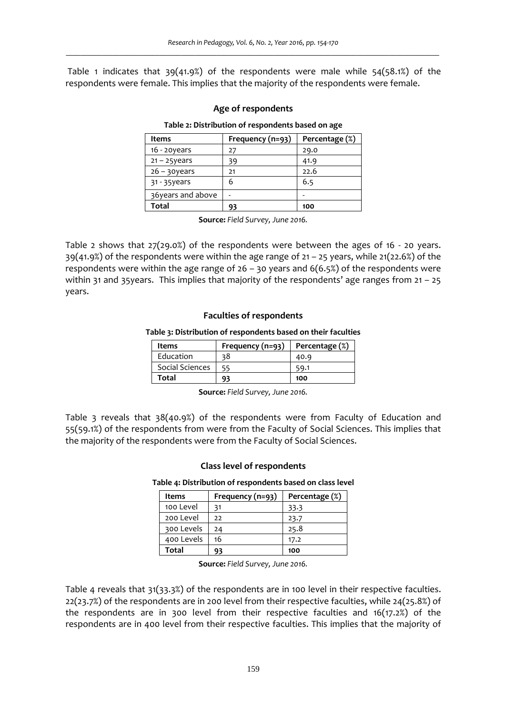Table 1 indicates that  $39(41.9%)$  of the respondents were male while  $54(58.1%)$  of the respondents were female. This implies that the majority of the respondents were female.

### **Age of respondents**

#### **Table 2: Distribution of respondents based on age**

| Items             | Frequency (n=93) | Percentage (%) |  |
|-------------------|------------------|----------------|--|
| $16 - 20$ years   | 27               | 29.0           |  |
| $21 - 25$ years   | 39               | 41.9           |  |
| $26 - 30$ years   | 21               | 22.6           |  |
| 31 - 35 years     | 6                | 6.5            |  |
| 36years and above |                  |                |  |
| Total             | 93               | 100            |  |

**Source:** *Field Survey, June 2016.*

Table 2 shows that  $27(29.0%)$  of the respondents were between the ages of 16 - 20 years.  $39(41.9%)$  of the respondents were within the age range of  $21 - 25$  years, while  $21(22.6%)$  of the respondents were within the age range of  $26 - 30$  years and  $6(6.5%)$  of the respondents were within 31 and 35 years. This implies that majority of the respondents' age ranges from  $21 - 25$ years.

#### **Faculties of respondents**

**Table 3: Distribution of respondents based on their faculties**

| Items           | Frequency (n=93) | Percentage (%) |  |
|-----------------|------------------|----------------|--|
| Education       | 38               | 40.9           |  |
| Social Sciences |                  | 59.1           |  |
| Total           | 93               | 100            |  |

**Source:** *Field Survey, June 2016.*

Table 3 reveals that 38(40.9%) of the respondents were from Faculty of Education and 55(59.1%) of the respondents from were from the Faculty of Social Sciences. This implies that the majority of the respondents were from the Faculty of Social Sciences.

#### **Class level of respondents**

**Table 4: Distribution of respondents based on class level**

| Items      | Frequency (n=93) | Percentage (%) |
|------------|------------------|----------------|
| 100 Level  | 31               | 33.3           |
| 200 Level  | 22               | 23.7           |
| 300 Levels | 24               | 25.8           |
| 400 Levels | 16               | 17.2           |
| Total      |                  | 100            |

**Source:** *Field Survey, June 2016.*

Table 4 reveals that 31(33.3%) of the respondents are in 100 level in their respective faculties. 22(23.7%) of the respondents are in 200 level from their respective faculties, while 24(25.8%) of the respondents are in 300 level from their respective faculties and 16(17.2%) of the respondents are in 400 level from their respective faculties. This implies that the majority of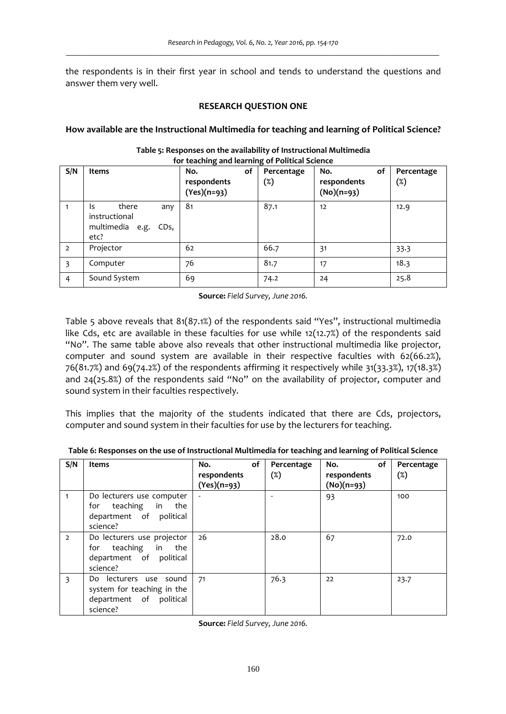the respondents is in their first year in school and tends to understand the questions and answer them very well.

### **RESEARCH QUESTION ONE**

## **How available are the Instructional Multimedia for teaching and learning of Political Science?**

| S/N            | Items                                                                   | No.<br>οf<br>respondents<br>$(Yes)(n=93)$ | Percentage<br>(%) | No.<br>οf<br>respondents<br>$(No)(n=93)$ | Percentage<br>(%) |
|----------------|-------------------------------------------------------------------------|-------------------------------------------|-------------------|------------------------------------------|-------------------|
| 1              | there<br>Is.<br>any<br>instructional<br>multimedia e.g.<br>CDs,<br>etc? | 81                                        | 87.1              | 12                                       | 12.9              |
| $\overline{2}$ | Projector                                                               | 62                                        | 66.7              | 31                                       | 33.3              |
| 3              | Computer                                                                | 76                                        | 81.7              | 17                                       | 18.3              |
| $\overline{4}$ | Sound System                                                            | 69                                        | 74.2              | 24                                       | 25.8              |

#### **Table 5: Responses on the availability of Instructional Multimedia for teaching and learning of Political Science**

**Source:** *Field Survey, June 2016.*

Table 5 above reveals that 81(87.1%) of the respondents said "Yes", instructional multimedia like Cds, etc are available in these faculties for use while 12(12.7%) of the respondents said "No". The same table above also reveals that other instructional multimedia like projector, computer and sound system are available in their respective faculties with 62(66.2%), 76(81.7%) and 69(74.2%) of the respondents affirming it respectively while 31(33.3%), 17(18.3%) and 24(25.8%) of the respondents said "No" on the availability of projector, computer and sound system in their faculties respectively.

This implies that the majority of the students indicated that there are Cds, projectors, computer and sound system in their faculties for use by the lecturers for teaching.

| S/N            | Items                                                                                       | of<br>No.<br>respondents<br>$(Yes)(n=93)$ | Percentage<br>$(\%)$ | of<br>No.<br>respondents<br>(No)(n=93) | Percentage<br>$(\%)$ |
|----------------|---------------------------------------------------------------------------------------------|-------------------------------------------|----------------------|----------------------------------------|----------------------|
| $\mathbf{1}$   | Do lecturers use computer<br>for teaching in the<br>department of political<br>science?     |                                           |                      | 93                                     | 100                  |
| $\overline{2}$ | Do lecturers use projector<br>for teaching in the<br>department of political<br>science?    | 26                                        | 28.0                 | 67                                     | 72.0                 |
| 3              | Do lecturers use sound<br>system for teaching in the<br>department of political<br>science? | 71                                        | 76.3                 | 22                                     | 23.7                 |

**Table 6: Responses on the use of Instructional Multimedia for teaching and learning of Political Science**

**Source:** *Field Survey, June 2016.*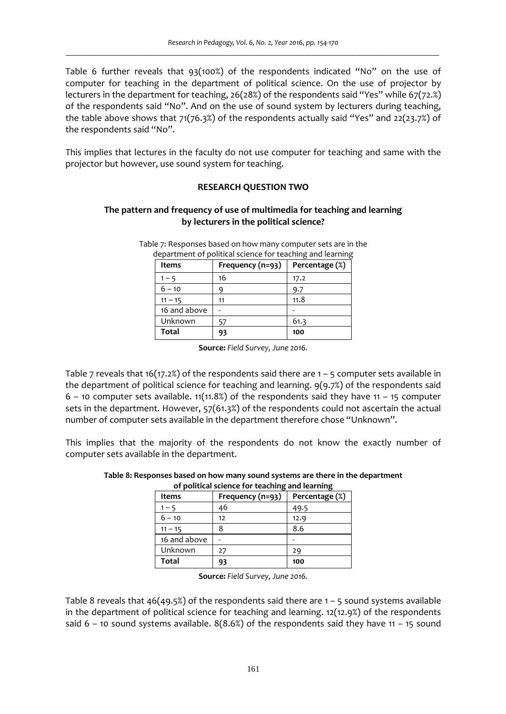Table 6 further reveals that 93(100%) of the respondents indicated "No" on the use of computer for teaching in the department of political science. On the use of projector by lecturers in the department for teaching, 26(28%) of the respondents said "Yes" while 67(72.%) of the respondents said "No". And on the use of sound system by lecturers during teaching, the table above shows that  $71(76.3%)$  of the respondents actually said "Yes" and 22(23.7%) of the respondents said "No".

This implies that lectures in the faculty do not use computer for teaching and same with the projector but however, use sound system for teaching.

### **RESEARCH QUESTION TWO**

## **The pattern and frequency of use of multimedia for teaching and learning by lecturers in the political science?**

| Table 7: Responses based on how many computer sets are in the |  |
|---------------------------------------------------------------|--|
| department of political science for teaching and learning     |  |

| Items        | Frequency (n=93) | Percentage (%) |
|--------------|------------------|----------------|
| $1 - 5$      | 16               | 17.2           |
| $6 - 10$     |                  | 9.7            |
| $11 - 15$    | 11               | 11.8           |
| 16 and above |                  |                |
| Unknown      | 57               | 61.3           |
| <b>Total</b> | 93               | 100            |

**Source:** *Field Survey, June 2016.*

Table 7 reveals that 16(17.2%) of the respondents said there are  $1 - 5$  computer sets available in the department of political science for teaching and learning. 9(9.7%) of the respondents said  $6 - 10$  computer sets available. 11(11.8%) of the respondents said they have 11 – 15 computer sets in the department. However, 57(61.3%) of the respondents could not ascertain the actual number of computer sets available in the department therefore chose "Unknown".

This implies that the majority of the respondents do not know the exactly number of computer sets available in the department.

| of political science for teaching and learning |                  |                |  |
|------------------------------------------------|------------------|----------------|--|
| <b>Items</b>                                   | Frequency (n=93) | Percentage (%) |  |
| $1 - 5$                                        | 46               | 49.5           |  |
| $6 - 10$                                       | 12               | 12.9           |  |
| $11 - 15$                                      |                  | 8.6            |  |
| 16 and above                                   |                  |                |  |
| Unknown                                        | 27               | 29             |  |
| <b>Total</b>                                   | 93               | 100            |  |

**Table 8: Responses based on how many sound systems are there in the department of political science for teaching and learning**

**Source:** *Field Survey, June 2016.*

Table 8 reveals that  $46(49.5%)$  of the respondents said there are  $1 - 5$  sound systems available in the department of political science for teaching and learning. 12(12.9%) of the respondents said  $6 - 10$  sound systems available.  $8(8.6%)$  of the respondents said they have 11 – 15 sound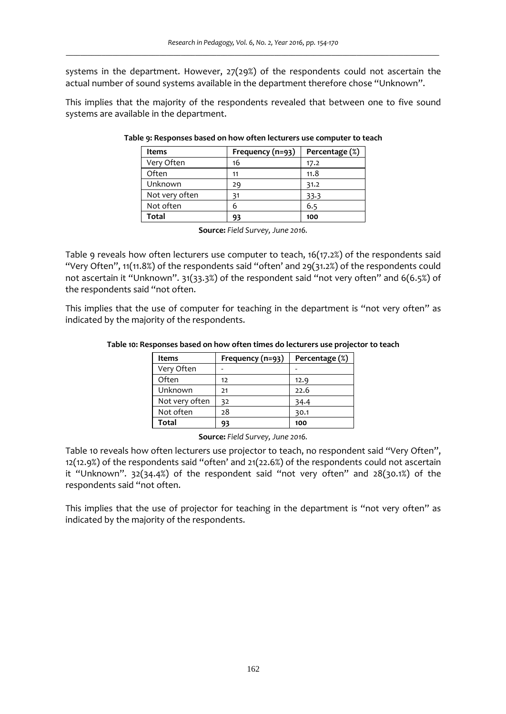systems in the department. However, 27(29%) of the respondents could not ascertain the actual number of sound systems available in the department therefore chose "Unknown".

This implies that the majority of the respondents revealed that between one to five sound systems are available in the department.

| Items          | Frequency (n=93) | Percentage (%) |  |
|----------------|------------------|----------------|--|
| Very Often     | 16               | 17.2           |  |
| Often          | 11               | 11.8           |  |
| Unknown        | 29               | 31.2           |  |
| Not very often | 31               | 33.3           |  |
| Not often      |                  | 6.5            |  |
| Total          | 93               | 100            |  |

#### **Table 9: Responses based on how often lecturers use computer to teach**

**Source:** *Field Survey, June 2016.*

Table 9 reveals how often lecturers use computer to teach, 16(17.2%) of the respondents said "Very Often", 11(11.8%) of the respondents said "often' and 29(31.2%) of the respondents could not ascertain it "Unknown". 31(33.3%) of the respondent said "not very often" and 6(6.5%) of the respondents said "not often.

This implies that the use of computer for teaching in the department is "not very often" as indicated by the majority of the respondents.

| <b>Items</b>   | Frequency (n=93) | Percentage (%) |
|----------------|------------------|----------------|
| Very Often     |                  |                |
| Often          | 12               | 12.9           |
| Unknown        | 21               | 22.6           |
| Not very often | 32               | 34.4           |
| Not often      | 28               | 30.1           |
| Total          |                  | 100            |

#### **Table 10: Responses based on how often times do lecturers use projector to teach**

**Source:** *Field Survey, June 2016.*

Table 10 reveals how often lecturers use projector to teach, no respondent said "Very Often", 12(12.9%) of the respondents said "often' and 21(22.6%) of the respondents could not ascertain it "Unknown". 32(34.4%) of the respondent said "not very often" and 28(30.1%) of the respondents said "not often.

This implies that the use of projector for teaching in the department is "not very often" as indicated by the majority of the respondents.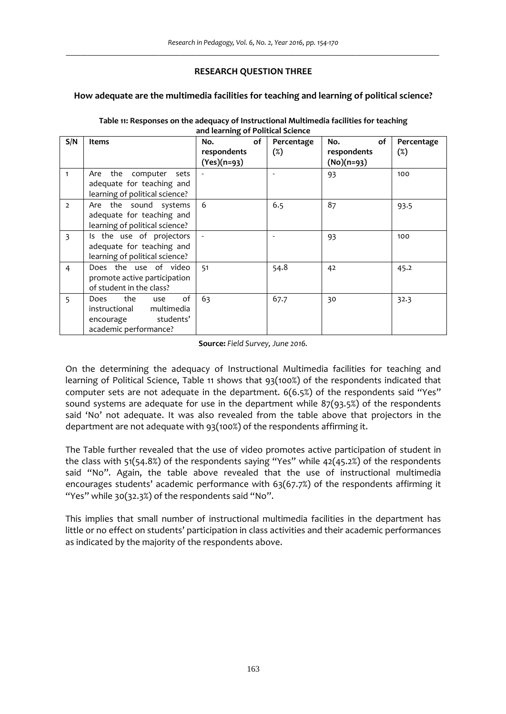## **RESEARCH QUESTION THREE**

## **How adequate are the multimedia facilities for teaching and learning of political science?**

|                |                                                                                                            | and rearning or Fontical Science |            |              |            |
|----------------|------------------------------------------------------------------------------------------------------------|----------------------------------|------------|--------------|------------|
| S/N            | Items                                                                                                      | of<br>No.                        | Percentage | No.<br>of    | Percentage |
|                |                                                                                                            | respondents                      | $(\%)$     | respondents  | $(\%)$     |
|                |                                                                                                            | $(Yes)(n=93)$                    |            | $(No)(n=93)$ |            |
| 1              | the computer<br>sets<br>Are<br>adequate for teaching and<br>learning of political science?                 |                                  |            | 93           | 100        |
| $\overline{2}$ | Are the sound systems<br>adequate for teaching and<br>learning of political science?                       | 6                                | 6.5        | 87           | 93.5       |
| 3              | Is the use of projectors<br>adequate for teaching and<br>learning of political science?                    |                                  |            | 93           | 100        |
| $\overline{4}$ | Does the use of video<br>promote active participation<br>of student in the class?                          | 51                               | 54.8       | 42           | 45.2       |
| 5              | οf<br>the<br>Does<br>use<br>instructional<br>multimedia<br>students'<br>encourage<br>academic performance? | 63                               | 67.7       | 30           | 32.3       |

#### **Table 11: Responses on the adequacy of Instructional Multimedia facilities for teaching and learning of Political Science**

**Source:** *Field Survey, June 2016.*

On the determining the adequacy of Instructional Multimedia facilities for teaching and learning of Political Science, Table 11 shows that 93(100%) of the respondents indicated that computer sets are not adequate in the department. 6(6.5%) of the respondents said "Yes" sound systems are adequate for use in the department while 87(93.5%) of the respondents said 'No' not adequate. It was also revealed from the table above that projectors in the department are not adequate with 93(100%) of the respondents affirming it.

The Table further revealed that the use of video promotes active participation of student in the class with 51(54.8%) of the respondents saying "Yes" while 42(45.2%) of the respondents said "No". Again, the table above revealed that the use of instructional multimedia encourages students' academic performance with 63(67.7%) of the respondents affirming it "Yes" while 30(32.3%) of the respondents said "No".

This implies that small number of instructional multimedia facilities in the department has little or no effect on students' participation in class activities and their academic performances as indicated by the majority of the respondents above.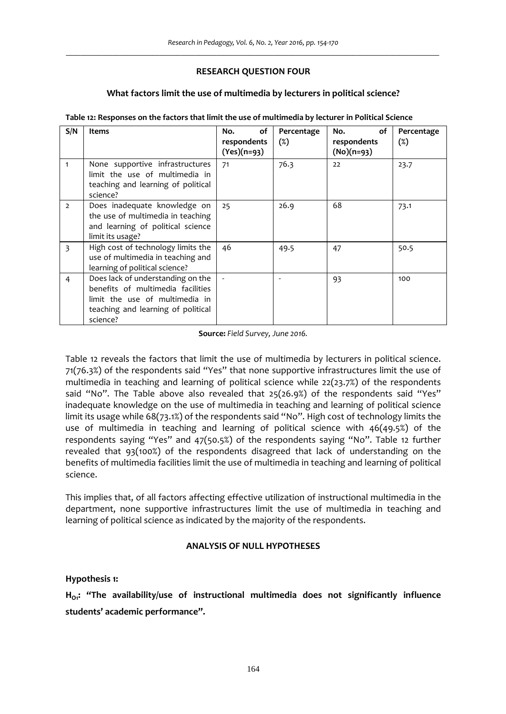## **RESEARCH QUESTION FOUR**

## **What factors limit the use of multimedia by lecturers in political science?**

| S/N            | <b>Items</b>                                                                                                                                               | of<br>No.<br>respondents<br>$(Yes)(n=93)$ | Percentage<br>$(\%)$ | No.<br>οf<br>respondents<br>$(No)(n=93)$ | Percentage<br>$(\%)$ |
|----------------|------------------------------------------------------------------------------------------------------------------------------------------------------------|-------------------------------------------|----------------------|------------------------------------------|----------------------|
| 1              | None supportive infrastructures<br>limit the use of multimedia in<br>teaching and learning of political<br>science?                                        | 71                                        | 76.3                 | 22                                       | 23.7                 |
| $\overline{2}$ | Does inadequate knowledge on<br>the use of multimedia in teaching<br>and learning of political science<br>limit its usage?                                 | 25                                        | 26.9                 | 68                                       | 73.1                 |
| 3              | High cost of technology limits the<br>use of multimedia in teaching and<br>learning of political science?                                                  | 46                                        | 49.5                 | 47                                       | 50.5                 |
| 4              | Does lack of understanding on the<br>benefits of multimedia facilities<br>limit the use of multimedia in<br>teaching and learning of political<br>science? |                                           |                      | 93                                       | 100                  |

**Table 12: Responses on the factors that limit the use of multimedia by lecturer in Political Science**

**Source:** *Field Survey, June 2016.*

Table 12 reveals the factors that limit the use of multimedia by lecturers in political science. 71(76.3%) of the respondents said "Yes" that none supportive infrastructures limit the use of multimedia in teaching and learning of political science while 22(23.7%) of the respondents said "No". The Table above also revealed that 25(26.9%) of the respondents said "Yes" inadequate knowledge on the use of multimedia in teaching and learning of political science limit its usage while 68(73.1%) of the respondents said "No". High cost of technology limits the use of multimedia in teaching and learning of political science with 46(49.5%) of the respondents saying "Yes" and 47(50.5%) of the respondents saying "No". Table 12 further revealed that 93(100%) of the respondents disagreed that lack of understanding on the benefits of multimedia facilities limit the use of multimedia in teaching and learning of political science.

This implies that, of all factors affecting effective utilization of instructional multimedia in the department, none supportive infrastructures limit the use of multimedia in teaching and learning of political science as indicated by the majority of the respondents.

## **ANALYSIS OF NULL HYPOTHESES**

### **Hypothesis 1:**

**HO1: "The availability/use of instructional multimedia does not significantly influence students' academic performance".**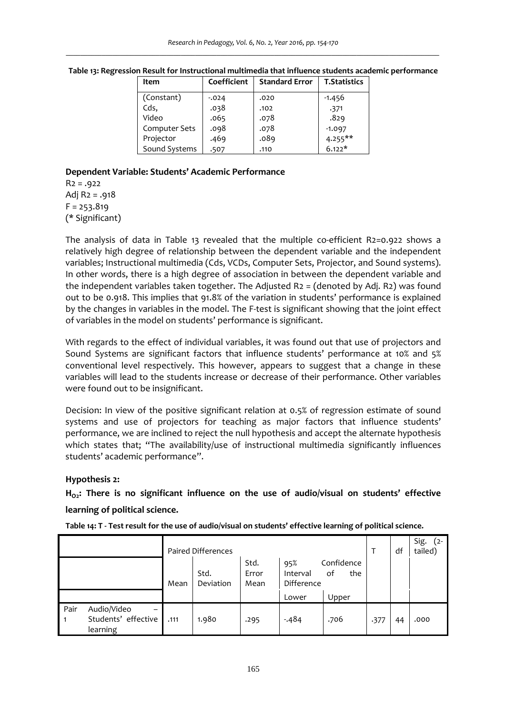| Item          | Coefficient | <b>Standard Error</b> | <b>T.Statistics</b> |
|---------------|-------------|-----------------------|---------------------|
| (Constant)    | $-0.024$    | .020                  | $-1.456$            |
| Cds,          | .038        | .102                  | .371                |
| Video         | .065        | .078                  | .829                |
| Computer Sets | .098        | .078                  | $-1.097$            |
| Projector     | .469        | .089                  | $4.255***$          |
| Sound Systems | .507        | .110                  | $6.122*$            |

**Table 13: Regression Result for Instructional multimedia that influence students academic performance**

## **Dependent Variable: Students' Academic Performance**

 $R2 = .922$ Adj R2 = .918  $F = 253.819$ (\* Significant)

The analysis of data in Table 13 revealed that the multiple co-efficient R2=0.922 shows a relatively high degree of relationship between the dependent variable and the independent variables; Instructional multimedia (Cds, VCDs, Computer Sets, Projector, and Sound systems). In other words, there is a high degree of association in between the dependent variable and the independent variables taken together. The Adjusted  $R_2 =$  (denoted by Adj. R2) was found out to be 0.918. This implies that 91.8% of the variation in students' performance is explained by the changes in variables in the model. The F‐test is significant showing that the joint effect of variables in the model on students' performance is significant.

With regards to the effect of individual variables, it was found out that use of projectors and Sound Systems are significant factors that influence students' performance at 10% and 5% conventional level respectively. This however, appears to suggest that a change in these variables will lead to the students increase or decrease of their performance. Other variables were found out to be insignificant.

Decision: In view of the positive significant relation at 0.5% of regression estimate of sound systems and use of projectors for teaching as major factors that influence students' performance, we are inclined to reject the null hypothesis and accept the alternate hypothesis which states that; "The availability/use of instructional multimedia significantly influences students' academic performance".

## **Hypothesis 2:**

**HO2: There is no significant influence on the use of audio/visual on students' effective learning of political science.**

|                        |                                                                            |      | <b>Paired Differences</b> |                       |                               |                         |      | df | Sig.<br>$(2 -$<br>tailed) |
|------------------------|----------------------------------------------------------------------------|------|---------------------------|-----------------------|-------------------------------|-------------------------|------|----|---------------------------|
|                        |                                                                            | Mean | Std.<br>Deviation         | Std.<br>Error<br>Mean | 95%<br>Interval<br>Difference | Confidence<br>the<br>οf |      |    |                           |
|                        |                                                                            |      |                           |                       | Lower                         | Upper                   |      |    |                           |
| Pair<br>$\overline{1}$ | Audio/Video<br>$\overline{\phantom{0}}$<br>Students' effective<br>learning | .111 | 1.980                     | .295                  | $-484$                        | .706                    | .377 | 44 | .000                      |

Table 14: T - Test result for the use of audio/visual on students' effective learning of political science.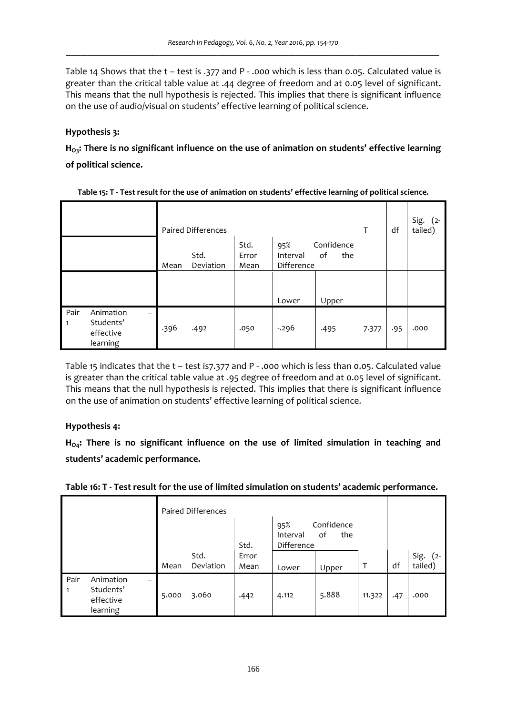Table 14 Shows that the t – test is .377 and P - .000 which is less than 0.05. Calculated value is greater than the critical table value at .44 degree of freedom and at 0.05 level of significant. This means that the null hypothesis is rejected. This implies that there is significant influence on the use of audio/visual on students' effective learning of political science.

# **Hypothesis 3:**

**HO3: There is no significant influence on the use of animation on students' effective learning of political science.**

|                      |                                                 |      | Paired Differences |                       |                                                          |       | Т     | df  | Sig. $(2 -$<br>tailed) |
|----------------------|-------------------------------------------------|------|--------------------|-----------------------|----------------------------------------------------------|-------|-------|-----|------------------------|
|                      |                                                 | Mean | Std.<br>Deviation  | Std.<br>Error<br>Mean | Confidence<br>95%<br>of<br>the<br>Interval<br>Difference |       |       |     |                        |
|                      |                                                 |      |                    |                       | Lower                                                    | Upper |       |     |                        |
| Pair<br>$\mathbf{1}$ | Animation<br>Students'<br>effective<br>learning | .396 | .492               | .050                  | $-296$                                                   | .495  | 7.377 | .95 | .000                   |

Table 15 indicates that the t – test is7.377 and P ‐ .000 which is less than 0.05. Calculated value is greater than the critical table value at .95 degree of freedom and at 0.05 level of significant. This means that the null hypothesis is rejected. This implies that there is significant influence on the use of animation on students' effective learning of political science.

# **Hypothesis 4:**

**HO4: There is no significant influence on the use of limited simulation in teaching and students' academic performance.**

|                                 |                                                      | <b>Paired Differences</b> |                   |                       |                                        |                                  |        |     |                        |
|---------------------------------|------------------------------------------------------|---------------------------|-------------------|-----------------------|----------------------------------------|----------------------------------|--------|-----|------------------------|
|                                 |                                                      | Mean                      | Std.<br>Deviation | Std.<br>Error<br>Mean | 95%<br>Interval<br>Difference<br>Lower | Confidence<br>the<br>οf<br>Upper |        | df  | Sig. $(2 -$<br>tailed) |
| Pair<br>$\overline{\mathbf{1}}$ | Animation<br>-<br>Students'<br>effective<br>learning | 5.000                     | 3.060             | .442                  | 4.112                                  | 5.888                            | 11.322 | .47 | .000                   |

**Table 16: T ‐ Test result for the use of limited simulation on students' academic performance.**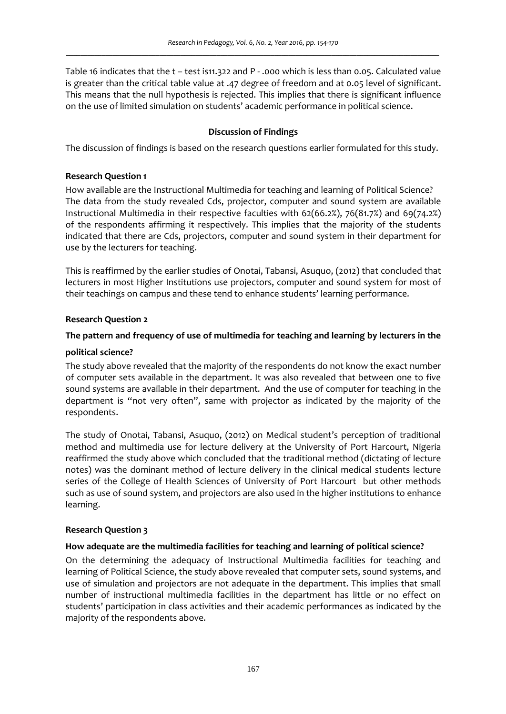Table 16 indicates that the t – test is11.322 and P ‐ .000 which is less than 0.05. Calculated value is greater than the critical table value at .47 degree of freedom and at 0.05 level of significant. This means that the null hypothesis is rejected. This implies that there is significant influence on the use of limited simulation on students' academic performance in political science.

## **Discussion of Findings**

The discussion of findings is based on the research questions earlier formulated for this study.

## **Research Question 1**

How available are the Instructional Multimedia for teaching and learning of Political Science? The data from the study revealed Cds, projector, computer and sound system are available Instructional Multimedia in their respective faculties with 62(66.2%), 76(81.7%) and 69(74.2%) of the respondents affirming it respectively. This implies that the majority of the students indicated that there are Cds, projectors, computer and sound system in their department for use by the lecturers for teaching.

This is reaffirmed by the earlier studies of Onotai, Tabansi, Asuquo, (2012) that concluded that lecturers in most Higher Institutions use projectors, computer and sound system for most of their teachings on campus and these tend to enhance students' learning performance.

### **Research Question 2**

## **The pattern and frequency of use of multimedia for teaching and learning by lecturers in the**

### **political science?**

The study above revealed that the majority of the respondents do not know the exact number of computer sets available in the department. It was also revealed that between one to five sound systems are available in their department. And the use of computer for teaching in the department is "not very often", same with projector as indicated by the majority of the respondents.

The study of Onotai, Tabansi, Asuquo, (2012) on Medical student's perception of traditional method and multimedia use for lecture delivery at the University of Port Harcourt, Nigeria reaffirmed the study above which concluded that the traditional method (dictating of lecture notes) was the dominant method of lecture delivery in the clinical medical students lecture series of the College of Health Sciences of University of Port Harcourt but other methods such as use of sound system, and projectors are also used in the higher institutions to enhance learning.

### **Research Question 3**

### **How adequate are the multimedia facilities for teaching and learning of political science?**

On the determining the adequacy of Instructional Multimedia facilities for teaching and learning of Political Science, the study above revealed that computer sets, sound systems, and use of simulation and projectors are not adequate in the department. This implies that small number of instructional multimedia facilities in the department has little or no effect on students' participation in class activities and their academic performances as indicated by the majority of the respondents above.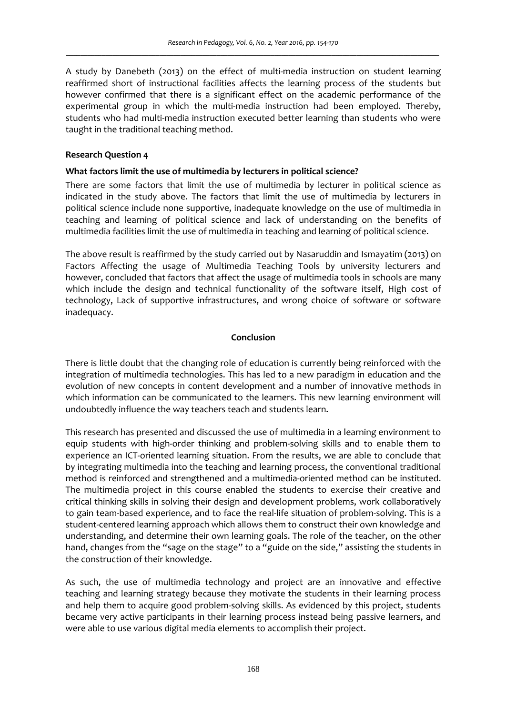A study by Danebeth (2013) on the effect of multi-media instruction on student learning reaffirmed short of instructional facilities affects the learning process of the students but however confirmed that there is a significant effect on the academic performance of the experimental group in which the multi-media instruction had been employed. Thereby, students who had multi-media instruction executed better learning than students who were taught in the traditional teaching method.

## **Research Question 4**

## **What factors limit the use of multimedia by lecturers in political science?**

There are some factors that limit the use of multimedia by lecturer in political science as indicated in the study above. The factors that limit the use of multimedia by lecturers in political science include none supportive, inadequate knowledge on the use of multimedia in teaching and learning of political science and lack of understanding on the benefits of multimedia facilities limit the use of multimedia in teaching and learning of political science.

The above result is reaffirmed by the study carried out by Nasaruddin and Ismayatim (2013) on Factors Affecting the usage of Multimedia Teaching Tools by university lecturers and however, concluded that factors that affect the usage of multimedia tools in schools are many which include the design and technical functionality of the software itself, High cost of technology, Lack of supportive infrastructures, and wrong choice of software or software inadequacy.

## **Conclusion**

There is little doubt that the changing role of education is currently being reinforced with the integration of multimedia technologies. This has led to a new paradigm in education and the evolution of new concepts in content development and a number of innovative methods in which information can be communicated to the learners. This new learning environment will undoubtedly influence the way teachers teach and students learn.

This research has presented and discussed the use of multimedia in a learning environment to equip students with high-order thinking and problem-solving skills and to enable them to experience an ICT-oriented learning situation. From the results, we are able to conclude that by integrating multimedia into the teaching and learning process, the conventional traditional method is reinforced and strengthened and a multimedia‐oriented method can be instituted. The multimedia project in this course enabled the students to exercise their creative and critical thinking skills in solving their design and development problems, work collaboratively to gain team-based experience, and to face the real-life situation of problem-solving. This is a student‐centered learning approach which allows them to construct their own knowledge and understanding, and determine their own learning goals. The role of the teacher, on the other hand, changes from the "sage on the stage" to a "guide on the side," assisting the students in the construction of their knowledge.

As such, the use of multimedia technology and project are an innovative and effective teaching and learning strategy because they motivate the students in their learning process and help them to acquire good problem-solving skills. As evidenced by this project, students became very active participants in their learning process instead being passive learners, and were able to use various digital media elements to accomplish their project.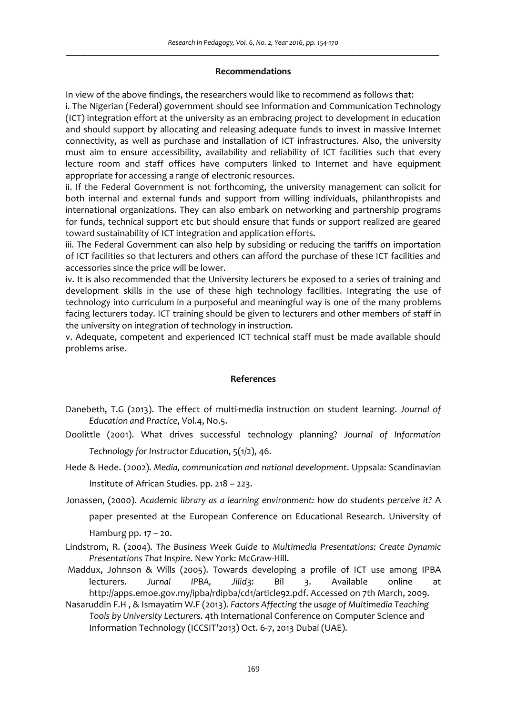#### **Recommendations**

In view of the above findings, the researchers would like to recommend as follows that:

i. The Nigerian (Federal) government should see Information and Communication Technology (ICT) integration effort at the university as an embracing project to development in education and should support by allocating and releasing adequate funds to invest in massive Internet connectivity, as well as purchase and installation of ICT infrastructures. Also, the university must aim to ensure accessibility, availability and reliability of ICT facilities such that every lecture room and staff offices have computers linked to Internet and have equipment appropriate for accessing a range of electronic resources.

ii. If the Federal Government is not forthcoming, the university management can solicit for both internal and external funds and support from willing individuals, philanthropists and international organizations. They can also embark on networking and partnership programs for funds, technical support etc but should ensure that funds or support realized are geared toward sustainability of ICT integration and application efforts.

iii. The Federal Government can also help by subsiding or reducing the tariffs on importation of ICT facilities so that lecturers and others can afford the purchase of these ICT facilities and accessories since the price will be lower.

iv. It is also recommended that the University lecturers be exposed to a series of training and development skills in the use of these high technology facilities. Integrating the use of technology into curriculum in a purposeful and meaningful way is one of the many problems facing lecturers today. ICT training should be given to lecturers and other members of staff in the university on integration of technology in instruction.

v. Adequate, competent and experienced ICT technical staff must be made available should problems arise.

### **References**

- Danebeth, T.G (2013). The effect of multi‐media instruction on student learning. *Journal of Education and Practice*, Vol.4, No.5.
- Doolittle (2001). What drives successful technology planning? *Journal of Information Technology for Instructor Education*, 5(1/2), 46.
- Hede & Hede. (2002). *Media, communication and national development*. Uppsala: Scandinavian Institute of African Studies. pp. 218 – 223.
- Jonassen, (2000). *Academic library as a learning environment: how do students perceive it?* A

paper presented at the European Conference on Educational Research. University of

Hamburg pp.  $17 - 20$ .

- Lindstrom, R. (2004). *The Business Week Guide to Multimedia Presentations: Create Dynamic Presentations That Inspire*. New York: McGraw‐Hill.
- Maddux, Johnson & Wills (2005). Towards developing a profile of ICT use among IPBA lecturers. *Jurnal IPBA, Jilid*3: Bil 3. Available online at http://apps.emoe.gov.my/ipba/rdipba/cd1/article92.pdf. Accessed on 7th March, 2009.
- Nasaruddin F.H , & Ismayatim W.F (2013). *Factors Affecting the usage of Multimedia Teaching Tools by University Lecturers*. 4th International Conference on Computer Science and Information Technology (ICCSIT'2013) Oct. 6‐7, 2013 Dubai (UAE).